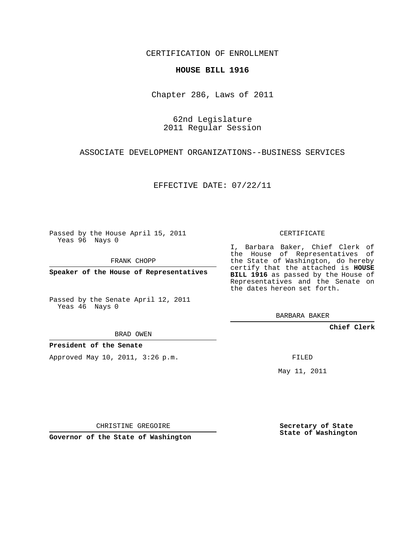CERTIFICATION OF ENROLLMENT

## **HOUSE BILL 1916**

Chapter 286, Laws of 2011

62nd Legislature 2011 Regular Session

ASSOCIATE DEVELOPMENT ORGANIZATIONS--BUSINESS SERVICES

EFFECTIVE DATE: 07/22/11

Passed by the House April 15, 2011 Yeas 96 Nays 0

FRANK CHOPP

**Speaker of the House of Representatives**

Passed by the Senate April 12, 2011 Yeas 46 Nays 0

I, Barbara Baker, Chief Clerk of the House of Representatives of the State of Washington, do hereby certify that the attached is **HOUSE BILL 1916** as passed by the House of Representatives and the Senate on the dates hereon set forth.

BARBARA BAKER

**Chief Clerk**

**President of the Senate**

Approved May 10, 2011, 3:26 p.m.

FILED

May 11, 2011

**Secretary of State State of Washington**

CHRISTINE GREGOIRE

**Governor of the State of Washington**

CERTIFICATE

## BRAD OWEN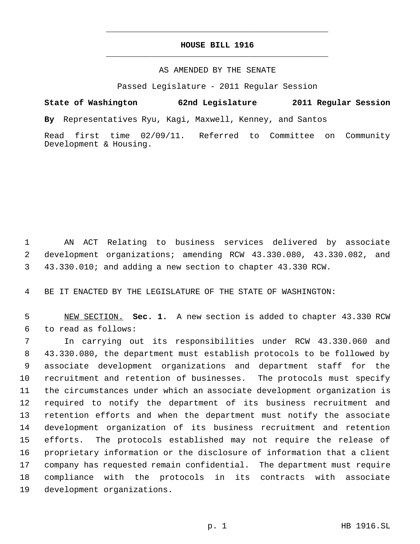## **HOUSE BILL 1916** \_\_\_\_\_\_\_\_\_\_\_\_\_\_\_\_\_\_\_\_\_\_\_\_\_\_\_\_\_\_\_\_\_\_\_\_\_\_\_\_\_\_\_\_\_

\_\_\_\_\_\_\_\_\_\_\_\_\_\_\_\_\_\_\_\_\_\_\_\_\_\_\_\_\_\_\_\_\_\_\_\_\_\_\_\_\_\_\_\_\_

## AS AMENDED BY THE SENATE

Passed Legislature - 2011 Regular Session

**State of Washington 62nd Legislature 2011 Regular Session**

**By** Representatives Ryu, Kagi, Maxwell, Kenney, and Santos

Read first time 02/09/11. Referred to Committee on Community Development & Housing.

 AN ACT Relating to business services delivered by associate development organizations; amending RCW 43.330.080, 43.330.082, and 43.330.010; and adding a new section to chapter 43.330 RCW.

BE IT ENACTED BY THE LEGISLATURE OF THE STATE OF WASHINGTON:

 NEW SECTION. **Sec. 1.** A new section is added to chapter 43.330 RCW to read as follows:

 In carrying out its responsibilities under RCW 43.330.060 and 43.330.080, the department must establish protocols to be followed by associate development organizations and department staff for the recruitment and retention of businesses. The protocols must specify the circumstances under which an associate development organization is required to notify the department of its business recruitment and retention efforts and when the department must notify the associate development organization of its business recruitment and retention efforts. The protocols established may not require the release of proprietary information or the disclosure of information that a client company has requested remain confidential. The department must require compliance with the protocols in its contracts with associate development organizations.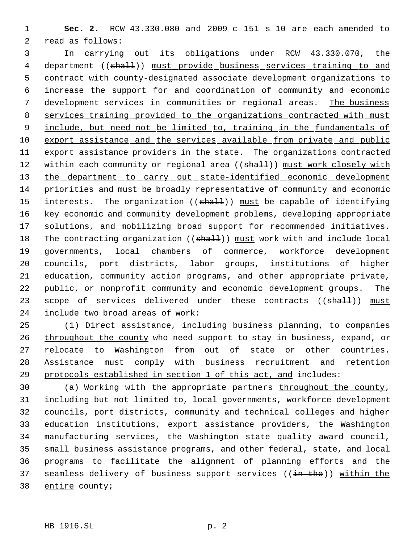**Sec. 2.** RCW 43.330.080 and 2009 c 151 s 10 are each amended to read as follows:

 In carrying out its obligations under RCW 43.330.070, the 4 department ((shall)) must provide business services training to and contract with county-designated associate development organizations to increase the support for and coordination of community and economic development services in communities or regional areas. The business services training provided to the organizations contracted with must 9 include, but need not be limited to, training in the fundamentals of export assistance and the services available from private and public 11 export assistance providers in the state. The organizations contracted 12 within each community or regional area ((shall)) must work closely with 13 the department to carry out state-identified economic development priorities and must be broadly representative of community and economic 15 interests. The organization ((shall)) must be capable of identifying key economic and community development problems, developing appropriate solutions, and mobilizing broad support for recommended initiatives. 18 The contracting organization ((shall)) must work with and include local governments, local chambers of commerce, workforce development councils, port districts, labor groups, institutions of higher education, community action programs, and other appropriate private, public, or nonprofit community and economic development groups. The 23 scope of services delivered under these contracts ((shall)) must include two broad areas of work:

 (1) Direct assistance, including business planning, to companies 26 throughout the county who need support to stay in business, expand, or relocate to Washington from out of state or other countries. 28 Assistance  $must\_complex\_with\_business\_recruitment\_and\_retention$ protocols established in section 1 of this act, and includes:

 (a) Working with the appropriate partners throughout the county, including but not limited to, local governments, workforce development councils, port districts, community and technical colleges and higher education institutions, export assistance providers, the Washington manufacturing services, the Washington state quality award council, small business assistance programs, and other federal, state, and local programs to facilitate the alignment of planning efforts and the 37 seamless delivery of business support services ((in the)) within the 38 entire county;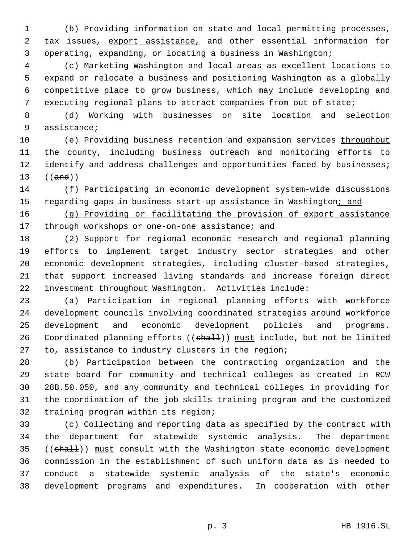(b) Providing information on state and local permitting processes, 2 tax issues, export assistance, and other essential information for operating, expanding, or locating a business in Washington;

 (c) Marketing Washington and local areas as excellent locations to expand or relocate a business and positioning Washington as a globally competitive place to grow business, which may include developing and executing regional plans to attract companies from out of state;

 (d) Working with businesses on site location and selection assistance;

10 (e) Providing business retention and expansion services throughout 11 the county, including business outreach and monitoring efforts to 12 identify and address challenges and opportunities faced by businesses; ((and))

 (f) Participating in economic development system-wide discussions 15 regarding gaps in business start-up assistance in Washington; and

 (g) Providing or facilitating the provision of export assistance 17 through workshops or one-on-one assistance; and

 (2) Support for regional economic research and regional planning efforts to implement target industry sector strategies and other economic development strategies, including cluster-based strategies, that support increased living standards and increase foreign direct investment throughout Washington. Activities include:

 (a) Participation in regional planning efforts with workforce development councils involving coordinated strategies around workforce development and economic development policies and programs. 26 Coordinated planning efforts ((shall)) must include, but not be limited to, assistance to industry clusters in the region;

 (b) Participation between the contracting organization and the state board for community and technical colleges as created in RCW 28B.50.050, and any community and technical colleges in providing for the coordination of the job skills training program and the customized training program within its region;

 (c) Collecting and reporting data as specified by the contract with the department for statewide systemic analysis. The department 35 ((shall)) must consult with the Washington state economic development commission in the establishment of such uniform data as is needed to conduct a statewide systemic analysis of the state's economic development programs and expenditures. In cooperation with other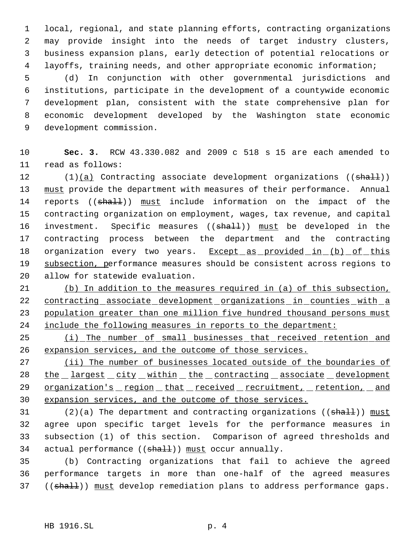local, regional, and state planning efforts, contracting organizations may provide insight into the needs of target industry clusters, business expansion plans, early detection of potential relocations or layoffs, training needs, and other appropriate economic information;

 (d) In conjunction with other governmental jurisdictions and institutions, participate in the development of a countywide economic development plan, consistent with the state comprehensive plan for economic development developed by the Washington state economic development commission.

 **Sec. 3.** RCW 43.330.082 and 2009 c 518 s 15 are each amended to read as follows:

12  $(1)(a)$  Contracting associate development organizations ((shall)) must provide the department with measures of their performance. Annual 14 reports ((shall)) must include information on the impact of the contracting organization on employment, wages, tax revenue, and capital 16 investment. Specific measures ((shall)) must be developed in the contracting process between the department and the contracting 18 organization every two years. Except as provided in (b) of this 19 subsection, performance measures should be consistent across regions to allow for statewide evaluation.

 (b) In addition to the measures required in (a) of this subsection, contracting associate development organizations in counties with a 23 population greater than one million five hundred thousand persons must include the following measures in reports to the department:

25 (i) The number of small businesses that received retention and expansion services, and the outcome of those services.

27 (ii) The number of businesses located outside of the boundaries of 28 the largest city within the contracting associate development 29 organization's region that received recruitment, retention, and expansion services, and the outcome of those services.

31 (2)(a) The department and contracting organizations (( $\frac{1}{\text{shal}}$ )) must agree upon specific target levels for the performance measures in subsection (1) of this section. Comparison of agreed thresholds and 34 actual performance ((shall)) must occur annually.

 (b) Contracting organizations that fail to achieve the agreed performance targets in more than one-half of the agreed measures 37 ((shall)) must develop remediation plans to address performance gaps.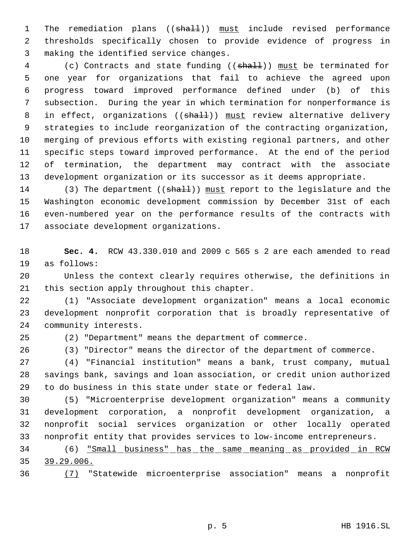1 The remediation plans ((shall)) must include revised performance thresholds specifically chosen to provide evidence of progress in making the identified service changes.

4 (c) Contracts and state funding ((shall)) must be terminated for one year for organizations that fail to achieve the agreed upon progress toward improved performance defined under (b) of this subsection. During the year in which termination for nonperformance is 8 in effect, organizations ((shall)) must review alternative delivery strategies to include reorganization of the contracting organization, merging of previous efforts with existing regional partners, and other specific steps toward improved performance. At the end of the period of termination, the department may contract with the associate development organization or its successor as it deems appropriate.

14 (3) The department ((shall)) must report to the legislature and the Washington economic development commission by December 31st of each even-numbered year on the performance results of the contracts with associate development organizations.

 **Sec. 4.** RCW 43.330.010 and 2009 c 565 s 2 are each amended to read as follows:

 Unless the context clearly requires otherwise, the definitions in this section apply throughout this chapter.

 (1) "Associate development organization" means a local economic development nonprofit corporation that is broadly representative of community interests.

(2) "Department" means the department of commerce.

(3) "Director" means the director of the department of commerce.

 (4) "Financial institution" means a bank, trust company, mutual savings bank, savings and loan association, or credit union authorized to do business in this state under state or federal law.

 (5) "Microenterprise development organization" means a community development corporation, a nonprofit development organization, a nonprofit social services organization or other locally operated nonprofit entity that provides services to low-income entrepreneurs.

 (6) "Small business" has the same meaning as provided in RCW 39.29.006.

(7) "Statewide microenterprise association" means a nonprofit